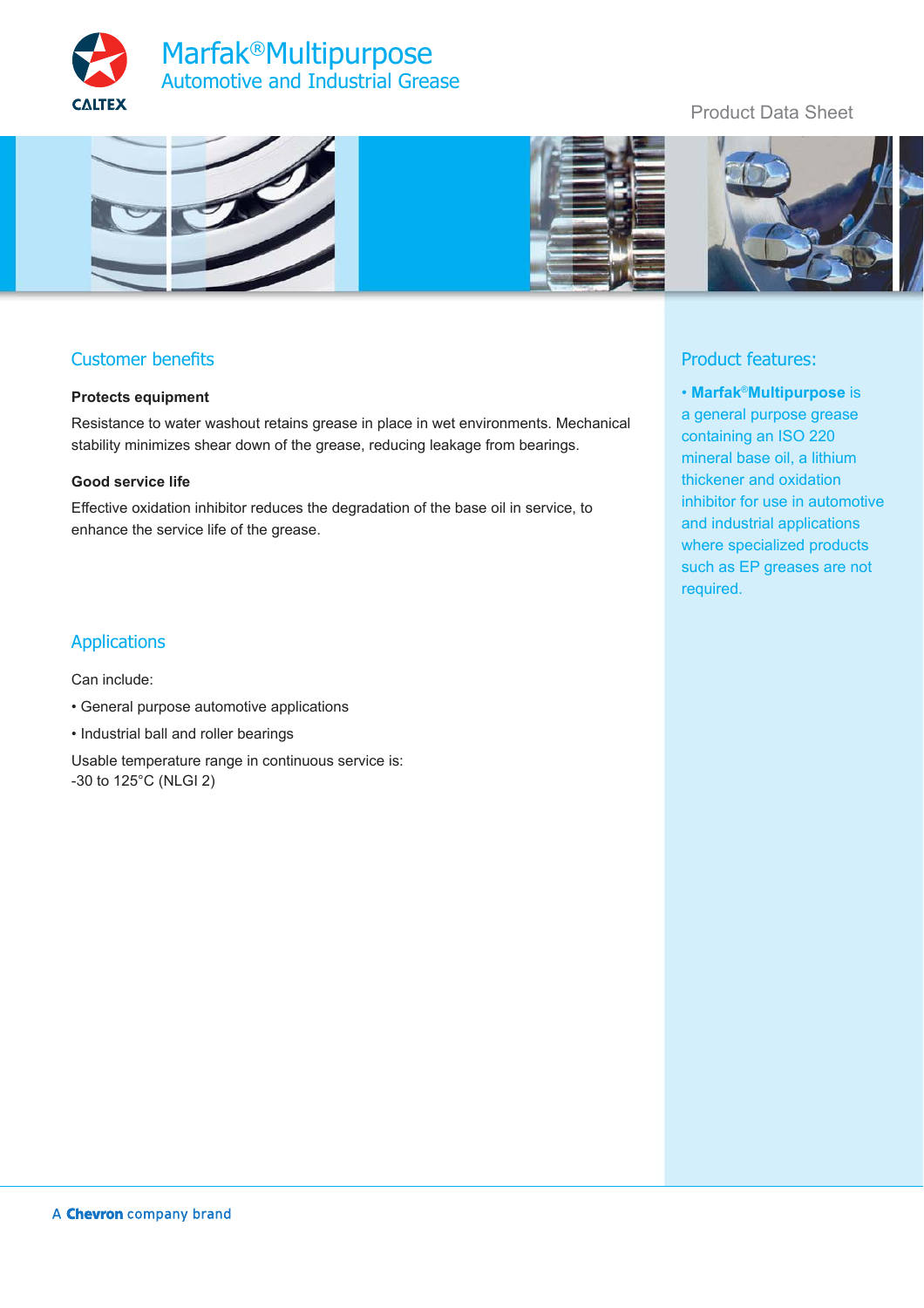



# Customer benefits

### **Protects equipment**

Resistance to water washout retains grease in place in wet environments. Mechanical stability minimizes shear down of the grease, reducing leakage from bearings.

### **Good service life**

Effective oxidation inhibitor reduces the degradation of the base oil in service, to enhance the service life of the grease.

### Applications

Can include:

- General purpose automotive applications
- Industrial ball and roller bearings
- Usable temperature range in continuous service is: -30 to 125°C (NLGI 2)

## Product Data Sheet



## Product features:

• **Marfak**®**Multipurpose** is a general purpose grease containing an ISO 220 mineral base oil, a lithium thickener and oxidation inhibitor for use in automotive and industrial applications where specialized products such as EP greases are not required.